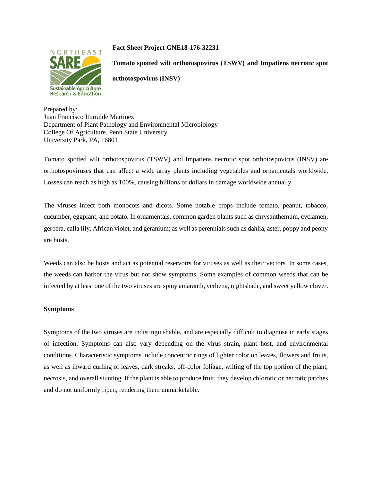

# **Fact Sheet Project GNE18-176-32231**

**Tomato spotted wilt orthotospovirus (TSWV) and Impatiens necrotic spot** 

**orthotospovirus (INSV)**

Prepared by: Juan Francisco Iturralde Martinez Department of Plant Pathology and Environmental Microbiology College Of Agriculture. Penn State University University Park, PA, 16801

Tomato spotted wilt orthotospovirus (TSWV) and Impatiens necrotic spot orthotospovirus (INSV) are orthotospoviruses that can affect a wide array plants including vegetables and ornamentals worldwide. Losses can reach as high as 100%, causing billions of dollars in damage worldwide annually.

The viruses infect both monocots and dicots. Some notable crops include tomato, peanut, tobacco, cucumber, eggplant, and potato. In ornamentals, common garden plants such as chrysanthemum, cyclamen, gerbera, calla lily, African violet, and geranium; as well as perennials such as dahlia, aster, poppy and peony are hosts.

Weeds can also be hosts and act as potential reservoirs for viruses as well as their vectors. In some cases, the weeds can harbor the virus but not show symptoms. Some examples of common weeds that can be infected by at least one of the two viruses are spiny amaranth, verbena, nightshade, and sweet yellow clover.

## **Symptoms**

Symptoms of the two viruses are indistinguishable, and are especially difficult to diagnose in early stages of infection. Symptoms can also vary depending on the virus strain, plant host, and environmental conditions. Characteristic symptoms include concentric rings of lighter color on leaves, flowers and fruits, as well as inward curling of leaves, dark streaks, off-color foliage, wilting of the top portion of the plant, necrosis, and overall stunting. If the plant is able to produce fruit, they develop chlorotic or necrotic patches and do not uniformly ripen, rendering them unmarketable.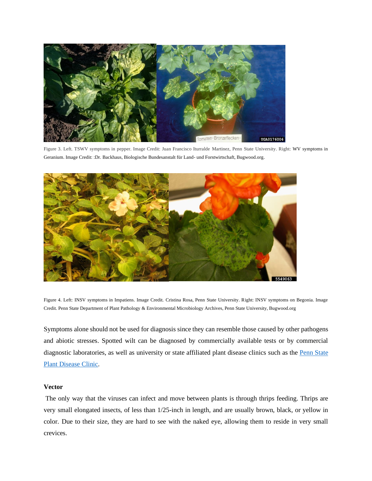

Figure 3. Left. TSWV symptoms in pepper. Image Credit: Juan Francisco Iturralde Martinez, Penn State University. Right: WV symptoms in Geranium. Image Credit: :Dr. Backhaus, Biologische Bundesanstalt für Land- und Forstwirtschaft, Bugwood.org.



Figure 4. Left: INSV symptoms in Impatiens. Image Credit. Cristina Rosa, Penn State University. Right: INSV symptoms on Begonia. Image Credit. Penn State Department of Plant Pathology & Environmental Microbiology Archives, Penn State University, Bugwood.org

Symptoms alone should not be used for diagnosis since they can resemble those caused by other pathogens and abiotic stresses. Spotted wilt can be diagnosed by commercially available tests or by commercial diagnostic laboratories, as well as university or state affiliated plant disease clinics such as the Penn State [Plant Disease Clinic.](https://plantpath.psu.edu/facilities/plant-disease-clinic)

#### **Vector**

The only way that the viruses can infect and move between plants is through thrips feeding. Thrips are very small elongated insects, of less than 1/25-inch in length, and are usually brown, black, or yellow in color. Due to their size, they are hard to see with the naked eye, allowing them to reside in very small crevices.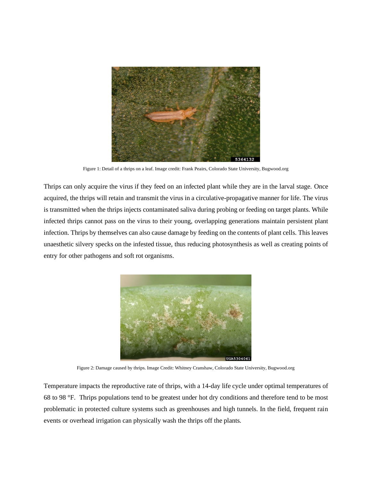

Figure 1: Detail of a thrips on a leaf. Image credit: Frank Peairs, Colorado State University, Bugwood.org

Thrips can only acquire the virus if they feed on an infected plant while they are in the larval stage. Once acquired, the thrips will retain and transmit the virus in a circulative-propagative manner for life. The virus is transmitted when the thrips injects contaminated saliva during probing or feeding on target plants. While infected thrips cannot pass on the virus to their young, overlapping generations maintain persistent plant infection. Thrips by themselves can also cause damage by feeding on the contents of plant cells. This leaves unaesthetic silvery specks on the infested tissue, thus reducing photosynthesis as well as creating points of entry for other pathogens and soft rot organisms.



Figure 2: Damage caused by thrips. Image Credit: Whitney Cranshaw, Colorado State University, Bugwood.org

Temperature impacts the reproductive rate of thrips, with a 14-day life cycle under optimal temperatures of 68 to 98 °F. Thrips populations tend to be greatest under hot dry conditions and therefore tend to be most problematic in protected culture systems such as greenhouses and high tunnels. In the field, frequent rain events or overhead irrigation can physically wash the thrips off the plants.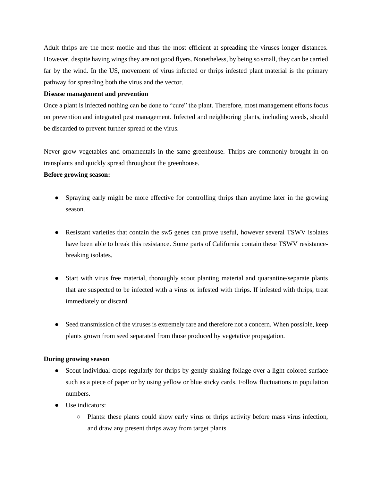Adult thrips are the most motile and thus the most efficient at spreading the viruses longer distances. However, despite having wings they are not good flyers. Nonetheless, by being so small, they can be carried far by the wind. In the US, movement of virus infected or thrips infested plant material is the primary pathway for spreading both the virus and the vector.

### **Disease management and prevention**

Once a plant is infected nothing can be done to "cure" the plant. Therefore, most management efforts focus on prevention and integrated pest management. Infected and neighboring plants, including weeds, should be discarded to prevent further spread of the virus.

Never grow vegetables and ornamentals in the same greenhouse. Thrips are commonly brought in on transplants and quickly spread throughout the greenhouse.

### **Before growing season:**

- Spraying early might be more effective for controlling thrips than anytime later in the growing season.
- Resistant varieties that contain the sw5 genes can prove useful, however several TSWV isolates have been able to break this resistance. Some parts of California contain these TSWV resistancebreaking isolates.
- Start with virus free material, thoroughly scout planting material and quarantine/separate plants that are suspected to be infected with a virus or infested with thrips. If infested with thrips, treat immediately or discard.
- Seed transmission of the viruses is extremely rare and therefore not a concern. When possible, keep plants grown from seed separated from those produced by vegetative propagation.

## **During growing season**

- Scout individual crops regularly for thrips by gently shaking foliage over a light-colored surface such as a piece of paper or by using yellow or blue sticky cards. Follow fluctuations in population numbers.
- Use indicators:
	- Plants: these plants could show early virus or thrips activity before mass virus infection, and draw any present thrips away from target plants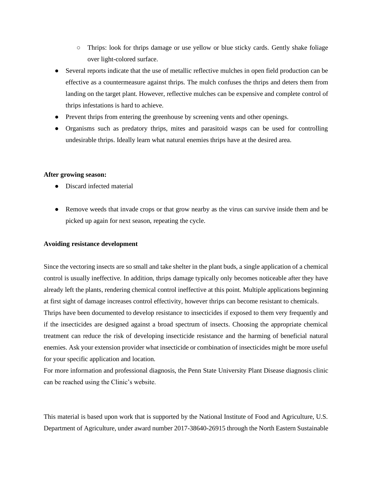- Thrips: look for thrips damage or use yellow or blue sticky cards. Gently shake foliage over light-colored surface.
- Several reports indicate that the use of metallic reflective mulches in open field production can be effective as a countermeasure against thrips. The mulch confuses the thrips and deters them from landing on the target plant. However, reflective mulches can be expensive and complete control of thrips infestations is hard to achieve.
- Prevent thrips from entering the greenhouse by screening vents and other openings.
- Organisms such as predatory thrips, mites and parasitoid wasps can be used for controlling undesirable thrips. Ideally learn what natural enemies thrips have at the desired area.

#### **After growing season:**

- Discard infected material
- Remove weeds that invade crops or that grow nearby as the virus can survive inside them and be picked up again for next season, repeating the cycle.

### **Avoiding resistance development**

Since the vectoring insects are so small and take shelter in the plant buds, a single application of a chemical control is usually ineffective. In addition, thrips damage typically only becomes noticeable after they have already left the plants, rendering chemical control ineffective at this point. Multiple applications beginning at first sight of damage increases control effectivity, however thrips can become resistant to chemicals.

Thrips have been documented to develop resistance to insecticides if exposed to them very frequently and if the insecticides are designed against a broad spectrum of insects. Choosing the appropriate chemical treatment can reduce the risk of developing insecticide resistance and the harming of beneficial natural enemies. Ask your extension provider what insecticide or combination of insecticides might be more useful for your specific application and location.

For more information and professional diagnosis, the Penn State University Plant Disease diagnosis clinic can be reached using the Clinic's website.

This material is based upon work that is supported by the National Institute of Food and Agriculture, U.S. Department of Agriculture, under award number 2017-38640-26915 through the North Eastern Sustainable